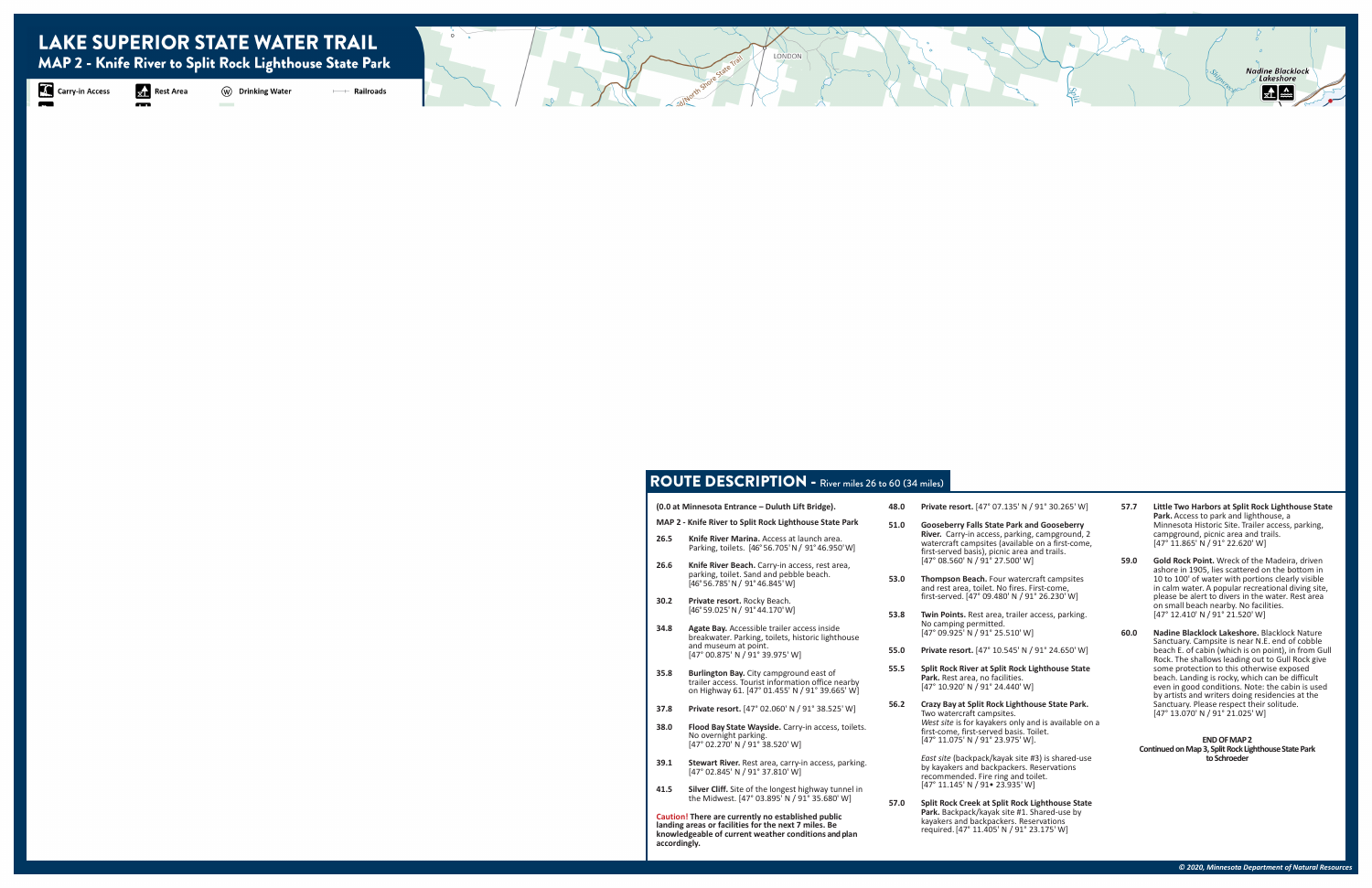### ROUTE DESCRIPTION - River miles 26 to 60 (34 miles)

| (0.0 at Minnesota Entrance – Duluth Lift Bridge).       | 48.0 | Private |
|---------------------------------------------------------|------|---------|
| MAP 2 - Knife River to Split Rock Lighthouse State Park | 51 0 | Goose   |

- **26.5 Knife River Marina.** Access at launch area. Parking, toilets. [46° 56.705' N / 91° 46.950' W]
- **26.6 Knife River Beach.** Carry-in access, rest area, parking, toilet. Sand and pebble beach. [46° 56.785' N / 91° 46.845' W]
- **30.2 Private resort.** Rocky Beach. [46° 59.025' N / 91° 44.170' W]
- **34.8 Agate Bay.** Accessible trailer access inside breakwater. Parking, toilets, historic lighthouse and museum at point. [47° 00.875' N / 91° 39.975' W]
- **35.8** Burlington Bay. City campground east of trailer access. Tourist information office nearby on Highway 61. [47° 01.455' N / 91° 39.665' W]
- **37.8 Private resort.** [47° 02.060' N / 91° 38.525' W]
- **38.0 Flood Bay State Wayside.** Carry-in access, toilets. No overnight parking. [47° 02.270' N / 91° 38.520' W]
- **39.1 Stewart River.** Rest area, carry-in access, parking. [47° 02.845' N / 91° 37.810' W]
- **41.5 Silver Cliff.** Site of the longest highway tunnel in the Midwest. [47° 03.895' N / 91° 35.680' W]

**Caution! There are currently no established public landing areas or facilities for the next 7 miles. Be knowledgeable of current weather conditions and plan accordingly.**

### **48.0 Private resort.** [47° 07.135' N / 91° 30.265' W]

- **51.0 Gooseberry Falls State Park and Gooseberry River.** Carry-in access, parking, campground, 2 watercraft campsites (available on a first-come, first-served basis), picnic area and trails.  $[47^{\circ}$  08.560' N / 91 $^{\circ}$  27.500' W]
- **53.0 Thompson Beach.** Four watercraft campsites and rest area, toilet. No fires. First-come, first-served. [47° 09.480' N / 91° 26.230' W]
- **53.8 Twin Points.** Rest area, trailer access, parking. No camping permitted. [47° 09.925' N / 91° 25.510' W]
- **55.0 Private resort.** [47° 10.545' N / 91° 24.650' W]
- **55.5 Split Rock River at Split Rock Lighthouse State Park.** Rest area, no facilities. [47° 10.920' N / 91° 24.440' W]
- Two watercraft campsites. first-come, first-served basis. Toilet. [47° 11.075' N / 91° 23.975' W].

### **56.2 Crazy Bay at Split Rock Lighthouse State Park.**

*West site* is for kayakers only and is available on a

*East site* (backpack/kayak site #3) is shared-use by kayakers and backpackers. Reservations recommended. Fire ring and toilet. [47° 11.145' N / 91• 23.935' W]

# **57.0 Split Rock Creek at Split Rock Lighthouse State**

**Park.** Backpack/kayak site #1. Shared-use by kayakers and backpackers. Reservations required. [47° 11.405' N / 91° 23.175' W]

**57.7 Little Two Harbors at Split Rock Lighthouse State Park.** Access to park and lighthouse, a Minnesota Historic Site. Trailer access, parking, campground, picnic area and trails. [47° 11.865' N / 91° 22.620' W]

- **59.0 Gold Rock Point.** Wreck of the Madeira, driven ashore in 1905, lies scattered on the bottom in 10 to 100' of water with portions clearly visible in calm water. A popular recreational diving site, please be alert to divers in the water. Rest area on small beach nearby. No facilities. [47° 12.410' N / 91° 21.520' W]
- **60.0 Nadine Blacklock Lakeshore.** Blacklock Nature Sanctuary. Campsite is near N.E. end of cobble beach E. of cabin (which is on point), in from Gull Rock. The shallows leading out to Gull Rock give some protection to this otherwise exposed beach. Landing is rocky, which can be difficult even in good conditions. Note: the cabin is used by artists and writers doing residencies at the Sanctuary. Please respect their solitude. [47° 13.070' N / 91° 21.025' W]

#### **END OF MAP 2 Continued on Map 3, Split Rock Lighthouse State Park to Schroeder**